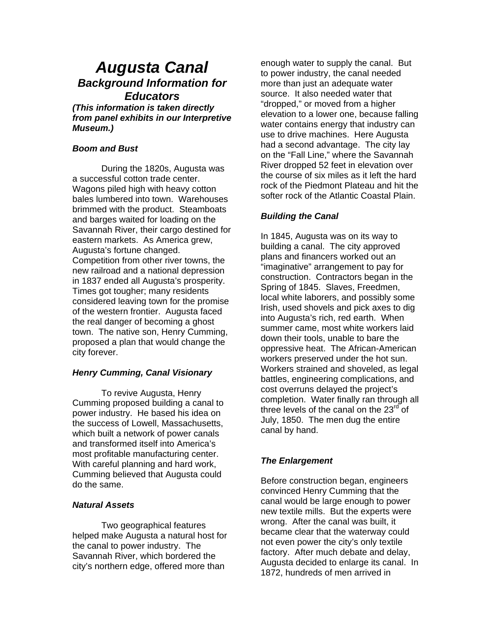# *Augusta Canal Background Information for Educators*

*(This information is taken directly from panel exhibits in our Interpretive Museum.)* 

#### *Boom and Bust*

During the 1820s, Augusta was a successful cotton trade center. Wagons piled high with heavy cotton bales lumbered into town. Warehouses brimmed with the product. Steamboats and barges waited for loading on the Savannah River, their cargo destined for eastern markets. As America grew, Augusta's fortune changed. Competition from other river towns, the new railroad and a national depression in 1837 ended all Augusta's prosperity. Times got tougher; many residents considered leaving town for the promise of the western frontier. Augusta faced the real danger of becoming a ghost town. The native son, Henry Cumming, proposed a plan that would change the city forever.

## *Henry Cumming, Canal Visionary*

To revive Augusta, Henry Cumming proposed building a canal to power industry. He based his idea on the success of Lowell, Massachusetts, which built a network of power canals and transformed itself into America's most profitable manufacturing center. With careful planning and hard work, Cumming believed that Augusta could do the same.

#### *Natural Assets*

Two geographical features helped make Augusta a natural host for the canal to power industry. The Savannah River, which bordered the city's northern edge, offered more than

enough water to supply the canal. But to power industry, the canal needed more than just an adequate water source. It also needed water that "dropped," or moved from a higher elevation to a lower one, because falling water contains energy that industry can use to drive machines. Here Augusta had a second advantage. The city lay on the "Fall Line," where the Savannah River dropped 52 feet in elevation over the course of six miles as it left the hard rock of the Piedmont Plateau and hit the softer rock of the Atlantic Coastal Plain.

## *Building the Canal*

In 1845, Augusta was on its way to building a canal. The city approved plans and financers worked out an "imaginative" arrangement to pay for construction. Contractors began in the Spring of 1845. Slaves, Freedmen, local white laborers, and possibly some Irish, used shovels and pick axes to dig into Augusta's rich, red earth. When summer came, most white workers laid down their tools, unable to bare the oppressive heat. The African-American workers preserved under the hot sun. Workers strained and shoveled, as legal battles, engineering complications, and cost overruns delayed the project's completion. Water finally ran through all three levels of the canal on the  $23<sup>rd</sup>$  of July, 1850. The men dug the entire canal by hand.

# *The Enlargement*

Before construction began, engineers convinced Henry Cumming that the canal would be large enough to power new textile mills. But the experts were wrong. After the canal was built, it became clear that the waterway could not even power the city's only textile factory. After much debate and delay, Augusta decided to enlarge its canal. In 1872, hundreds of men arrived in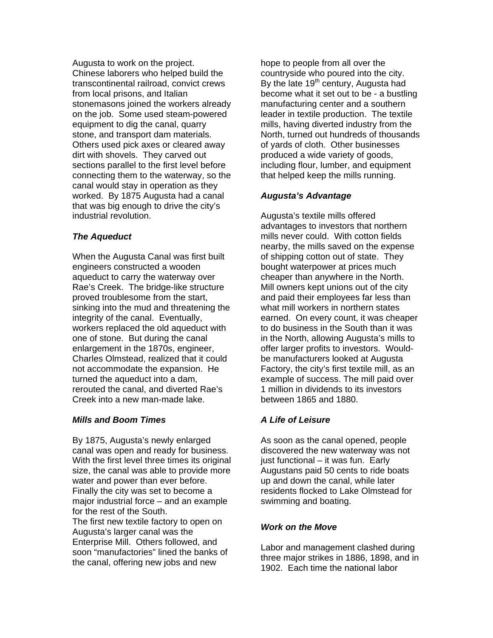Augusta to work on the project. Chinese laborers who helped build the transcontinental railroad, convict crews from local prisons, and Italian stonemasons joined the workers already on the job. Some used steam-powered equipment to dig the canal, quarry stone, and transport dam materials. Others used pick axes or cleared away dirt with shovels. They carved out sections parallel to the first level before connecting them to the waterway, so the canal would stay in operation as they worked. By 1875 Augusta had a canal that was big enough to drive the city's industrial revolution.

# *The Aqueduct*

When the Augusta Canal was first built engineers constructed a wooden aqueduct to carry the waterway over Rae's Creek. The bridge-like structure proved troublesome from the start, sinking into the mud and threatening the integrity of the canal. Eventually, workers replaced the old aqueduct with one of stone. But during the canal enlargement in the 1870s, engineer, Charles Olmstead, realized that it could not accommodate the expansion. He turned the aqueduct into a dam, rerouted the canal, and diverted Rae's Creek into a new man-made lake.

## *Mills and Boom Times*

By 1875, Augusta's newly enlarged canal was open and ready for business. With the first level three times its original size, the canal was able to provide more water and power than ever before. Finally the city was set to become a major industrial force – and an example for the rest of the South.

The first new textile factory to open on Augusta's larger canal was the Enterprise Mill. Others followed, and soon "manufactories" lined the banks of the canal, offering new jobs and new

hope to people from all over the countryside who poured into the city. By the late  $19<sup>th</sup>$  century, Augusta had become what it set out to be - a bustling manufacturing center and a southern leader in textile production. The textile mills, having diverted industry from the North, turned out hundreds of thousands of yards of cloth. Other businesses produced a wide variety of goods, including flour, lumber, and equipment that helped keep the mills running.

# *Augusta's Advantage*

Augusta's textile mills offered advantages to investors that northern mills never could. With cotton fields nearby, the mills saved on the expense of shipping cotton out of state. They bought waterpower at prices much cheaper than anywhere in the North. Mill owners kept unions out of the city and paid their employees far less than what mill workers in northern states earned. On every count, it was cheaper to do business in the South than it was in the North, allowing Augusta's mills to offer larger profits to investors. Wouldbe manufacturers looked at Augusta Factory, the city's first textile mill, as an example of success. The mill paid over 1 million in dividends to its investors between 1865 and 1880.

# *A Life of Leisure*

As soon as the canal opened, people discovered the new waterway was not just functional – it was fun. Early Augustans paid 50 cents to ride boats up and down the canal, while later residents flocked to Lake Olmstead for swimming and boating.

## *Work on the Move*

Labor and management clashed during three major strikes in 1886, 1898, and in 1902. Each time the national labor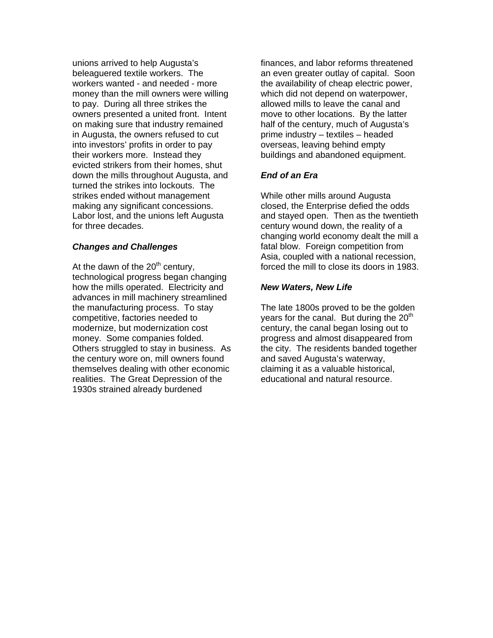unions arrived to help Augusta's beleaguered textile workers. The workers wanted - and needed - more money than the mill owners were willing to pay. During all three strikes the owners presented a united front. Intent on making sure that industry remained in Augusta, the owners refused to cut into investors' profits in order to pay their workers more. Instead they evicted strikers from their homes, shut down the mills throughout Augusta, and turned the strikes into lockouts. The strikes ended without management making any significant concessions. Labor lost, and the unions left Augusta for three decades.

#### *Changes and Challenges*

At the dawn of the  $20<sup>th</sup>$  century, technological progress began changing how the mills operated. Electricity and advances in mill machinery streamlined the manufacturing process. To stay competitive, factories needed to modernize, but modernization cost money. Some companies folded. Others struggled to stay in business. As the century wore on, mill owners found themselves dealing with other economic realities. The Great Depression of the 1930s strained already burdened

finances, and labor reforms threatened an even greater outlay of capital. Soon the availability of cheap electric power, which did not depend on waterpower, allowed mills to leave the canal and move to other locations. By the latter half of the century, much of Augusta's prime industry – textiles – headed overseas, leaving behind empty buildings and abandoned equipment.

# *End of an Era*

While other mills around Augusta closed, the Enterprise defied the odds and stayed open. Then as the twentieth century wound down, the reality of a changing world economy dealt the mill a fatal blow. Foreign competition from Asia, coupled with a national recession, forced the mill to close its doors in 1983.

## *New Waters, New Life*

The late 1800s proved to be the golden years for the canal. But during the  $20<sup>th</sup>$ century, the canal began losing out to progress and almost disappeared from the city. The residents banded together and saved Augusta's waterway, claiming it as a valuable historical, educational and natural resource.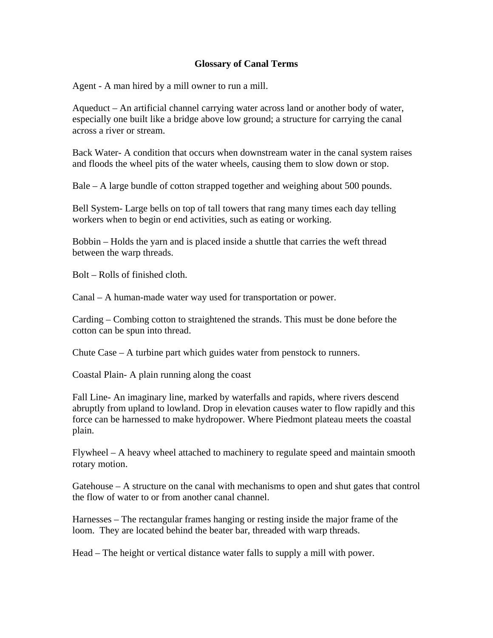# **Glossary of Canal Terms**

Agent - A man hired by a mill owner to run a mill.

Aqueduct – An artificial channel carrying water across land or another body of water, especially one built like a bridge above low ground; a structure for carrying the canal across a river or stream.

Back Water- A condition that occurs when downstream water in the canal system raises and floods the wheel pits of the water wheels, causing them to slow down or stop.

Bale – A large bundle of cotton strapped together and weighing about 500 pounds.

Bell System- Large bells on top of tall towers that rang many times each day telling workers when to begin or end activities, such as eating or working.

Bobbin – Holds the yarn and is placed inside a shuttle that carries the weft thread between the warp threads.

Bolt – Rolls of finished cloth.

Canal – A human-made water way used for transportation or power.

Carding – Combing cotton to straightened the strands. This must be done before the cotton can be spun into thread.

Chute Case – A turbine part which guides water from penstock to runners.

Coastal Plain- A plain running along the coast

Fall Line- An imaginary line, marked by waterfalls and rapids, where rivers descend abruptly from upland to lowland. Drop in elevation causes water to flow rapidly and this force can be harnessed to make hydropower. Where Piedmont plateau meets the coastal plain.

Flywheel – A heavy wheel attached to machinery to regulate speed and maintain smooth rotary motion.

Gatehouse  $-$  A structure on the canal with mechanisms to open and shut gates that control the flow of water to or from another canal channel.

Harnesses – The rectangular frames hanging or resting inside the major frame of the loom. They are located behind the beater bar, threaded with warp threads.

Head – The height or vertical distance water falls to supply a mill with power.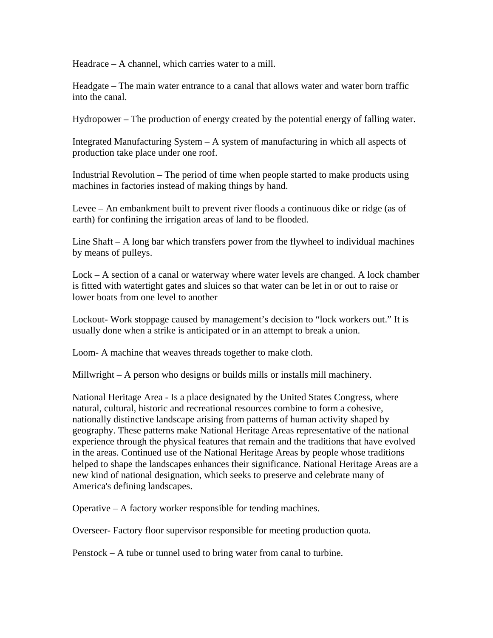Headrace – A channel, which carries water to a mill.

Headgate – The main water entrance to a canal that allows water and water born traffic into the canal.

Hydropower – The production of energy created by the potential energy of falling water.

Integrated Manufacturing System – A system of manufacturing in which all aspects of production take place under one roof.

Industrial Revolution – The period of time when people started to make products using machines in factories instead of making things by hand.

Levee – An embankment built to prevent river floods a continuous dike or ridge (as of earth) for confining the irrigation areas of land to be flooded.

Line Shaft – A long bar which transfers power from the flywheel to individual machines by means of pulleys.

Lock – A section of a canal or waterway where water levels are changed. A lock chamber is fitted with watertight gates and sluices so that water can be let in or out to raise or lower boats from one level to another

Lockout- Work stoppage caused by management's decision to "lock workers out." It is usually done when a strike is anticipated or in an attempt to break a union.

Loom- A machine that weaves threads together to make cloth.

Millwright – A person who designs or builds mills or installs mill machinery.

National Heritage Area - Is a place designated by the United States Congress, where natural, cultural, historic and recreational resources combine to form a cohesive, nationally distinctive landscape arising from patterns of human activity shaped by geography. These patterns make National Heritage Areas representative of the national experience through the physical features that remain and the traditions that have evolved in the areas. Continued use of the National Heritage Areas by people whose traditions helped to shape the landscapes enhances their significance. National Heritage Areas are a new kind of national designation, which seeks to preserve and celebrate many of America's defining landscapes.

Operative – A factory worker responsible for tending machines.

Overseer- Factory floor supervisor responsible for meeting production quota.

Penstock – A tube or tunnel used to bring water from canal to turbine.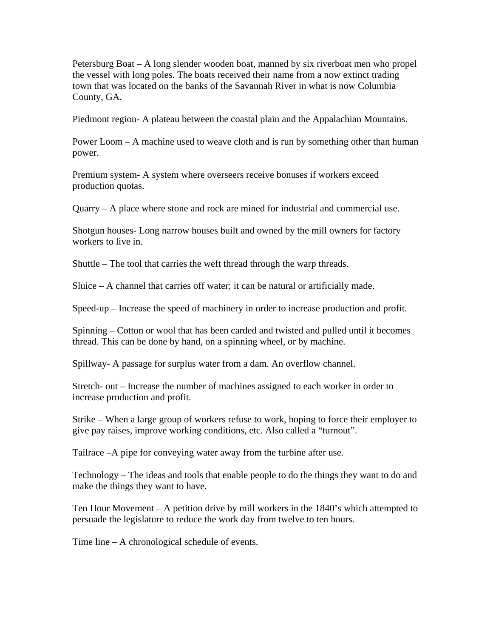Petersburg Boat – A long slender wooden boat, manned by six riverboat men who propel the vessel with long poles. The boats received their name from a now extinct trading town that was located on the banks of the Savannah River in what is now Columbia County, GA.

Piedmont region- A plateau between the coastal plain and the Appalachian Mountains.

Power Loom – A machine used to weave cloth and is run by something other than human power.

Premium system- A system where overseers receive bonuses if workers exceed production quotas.

Quarry – A place where stone and rock are mined for industrial and commercial use.

Shotgun houses- Long narrow houses built and owned by the mill owners for factory workers to live in.

Shuttle – The tool that carries the weft thread through the warp threads.

Sluice – A channel that carries off water; it can be natural or artificially made.

Speed-up – Increase the speed of machinery in order to increase production and profit.

Spinning – Cotton or wool that has been carded and twisted and pulled until it becomes thread. This can be done by hand, on a spinning wheel, or by machine.

Spillway- A passage for surplus water from a dam. An overflow channel.

Stretch- out – Increase the number of machines assigned to each worker in order to increase production and profit.

Strike – When a large group of workers refuse to work, hoping to force their employer to give pay raises, improve working conditions, etc. Also called a "turnout".

Tailrace –A pipe for conveying water away from the turbine after use.

Technology – The ideas and tools that enable people to do the things they want to do and make the things they want to have.

Ten Hour Movement – A petition drive by mill workers in the 1840's which attempted to persuade the legislature to reduce the work day from twelve to ten hours.

Time line – A chronological schedule of events.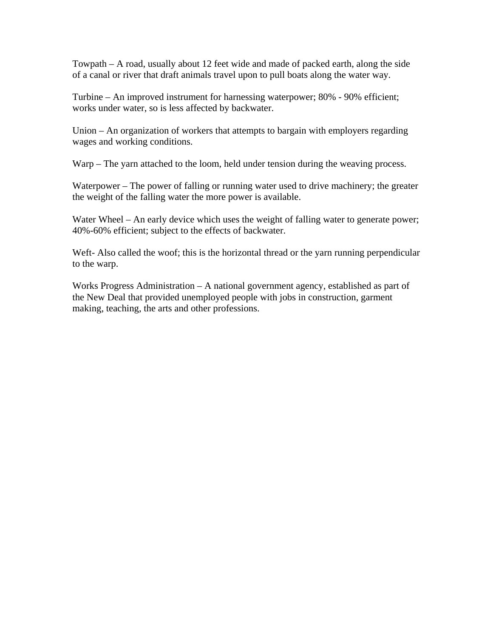Towpath – A road, usually about 12 feet wide and made of packed earth, along the side of a canal or river that draft animals travel upon to pull boats along the water way.

Turbine – An improved instrument for harnessing waterpower; 80% - 90% efficient; works under water, so is less affected by backwater.

Union – An organization of workers that attempts to bargain with employers regarding wages and working conditions.

Warp – The yarn attached to the loom, held under tension during the weaving process.

Waterpower – The power of falling or running water used to drive machinery; the greater the weight of the falling water the more power is available.

Water Wheel – An early device which uses the weight of falling water to generate power; 40%-60% efficient; subject to the effects of backwater.

Weft- Also called the woof; this is the horizontal thread or the yarn running perpendicular to the warp.

Works Progress Administration – A national government agency, established as part of the New Deal that provided unemployed people with jobs in construction, garment making, teaching, the arts and other professions.